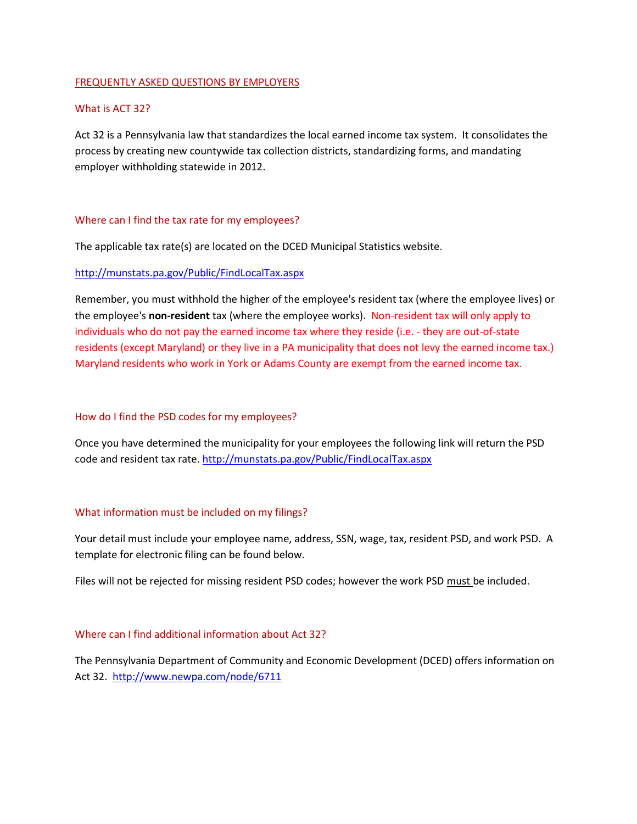## FREQUENTLY ASKED QUESTIONS BY EMPLOYERS

### What is ACT 32?

Act 32 is a Pennsylvania law that standardizes the local earned income tax system. It consolidates the process by creating new countywide tax collection districts, standardizing forms, and mandating employer withholding statewide in 2012.

### Where can I find the tax rate for my employees?

The applicable tax rate(s) are located on the DCED Municipal Statistics website.

### <http://munstats.pa.gov/Public/FindLocalTax.aspx>

Remember, you must withhold the higher of the employee's resident tax (where the employee lives) or the employee's **non-resident** tax (where the employee works). Non-resident tax will only apply to individuals who do not pay the earned income tax where they reside (i.e. - they are out-of-state residents (except Maryland) or they live in a PA municipality that does not levy the earned income tax.) Maryland residents who work in York or Adams County are exempt from the earned income tax.

## How do I find the PSD codes for my employees?

Once you have determined the municipality for your employees the following link will return the PSD code and resident tax rate[. http://munstats.pa.gov/Public/FindLocalTax.aspx](http://munstats.pa.gov/Public/FindLocalTax.aspx)

# What information must be included on my filings?

Your detail must include your employee name, address, SSN, wage, tax, resident PSD, and work PSD. A template for electronic filing can be found below.

Files will not be rejected for missing resident PSD codes; however the work PSD must be included.

#### Where can I find additional information about Act 32?

The Pennsylvania Department of Community and Economic Development (DCED) offers information on Act 32. <http://www.newpa.com/node/6711>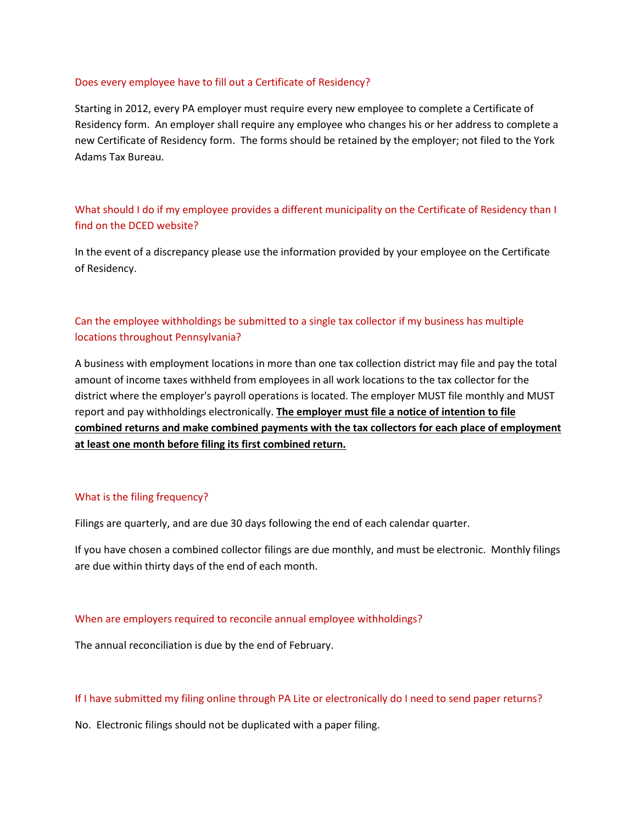#### Does every employee have to fill out a Certificate of Residency?

Starting in 2012, every PA employer must require every new employee to complete a Certificate of Residency form. An employer shall require any employee who changes his or her address to complete a new Certificate of Residency form. The forms should be retained by the employer; not filed to the York Adams Tax Bureau.

# What should I do if my employee provides a different municipality on the Certificate of Residency than I find on the DCED website?

In the event of a discrepancy please use the information provided by your employee on the Certificate of Residency.

# Can the employee withholdings be submitted to a single tax collector if my business has multiple locations throughout Pennsylvania?

A business with employment locations in more than one tax collection district may file and pay the total amount of income taxes withheld from employees in all work locations to the tax collector for the district where the employer's payroll operations is located. The employer MUST file monthly and MUST report and pay withholdings electronically. **The employer must file a notice of intention to file combined returns and make combined payments with the tax collectors for each place of employment at least one month before filing its first combined return.**

# What is the filing frequency?

Filings are quarterly, and are due 30 days following the end of each calendar quarter.

If you have chosen a combined collector filings are due monthly, and must be electronic. Monthly filings are due within thirty days of the end of each month.

# When are employers required to reconcile annual employee withholdings?

The annual reconciliation is due by the end of February.

# If I have submitted my filing online through PA Lite or electronically do I need to send paper returns?

No. Electronic filings should not be duplicated with a paper filing.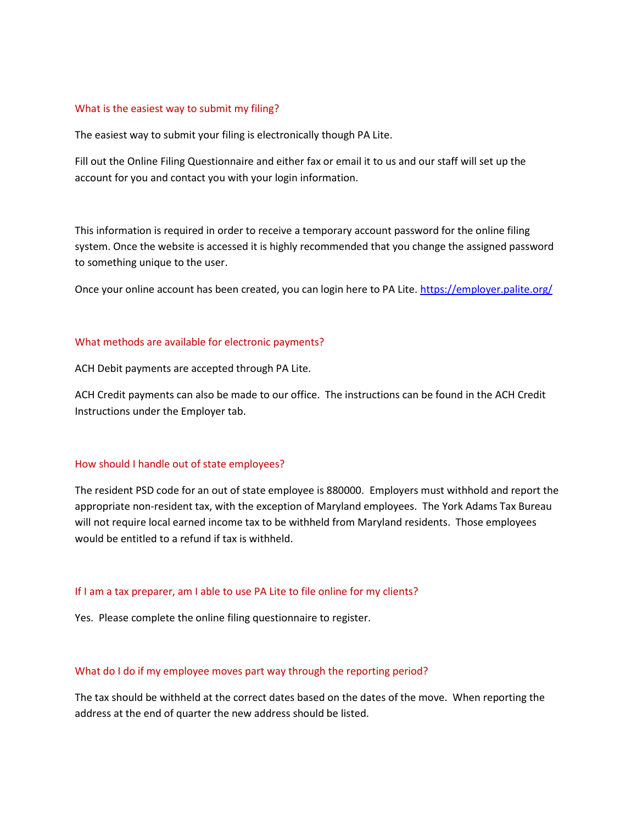#### What is the easiest way to submit my filing?

The easiest way to submit your filing is electronically though PA Lite.

Fill out the Online Filing Questionnaire and either fax or email it to us and our staff will set up the account for you and contact you with your login information.

This information is required in order to receive a temporary account password for the online filing system. Once the website is accessed it is highly recommended that you change the assigned password to something unique to the user.

Once your online account has been created, you can login here to PA Lite. <https://employer.palite.org/>

#### What methods are available for electronic payments?

ACH Debit payments are accepted through PA Lite.

ACH Credit payments can also be made to our office. The instructions can be found in the ACH Credit Instructions under the Employer tab.

# How should I handle out of state employees?

The resident PSD code for an out of state employee is 880000. Employers must withhold and report the appropriate non-resident tax, with the exception of Maryland employees. The York Adams Tax Bureau will not require local earned income tax to be withheld from Maryland residents. Those employees would be entitled to a refund if tax is withheld.

#### If I am a tax preparer, am I able to use PA Lite to file online for my clients?

Yes. Please complete the online filing questionnaire to register.

#### What do I do if my employee moves part way through the reporting period?

The tax should be withheld at the correct dates based on the dates of the move. When reporting the address at the end of quarter the new address should be listed.